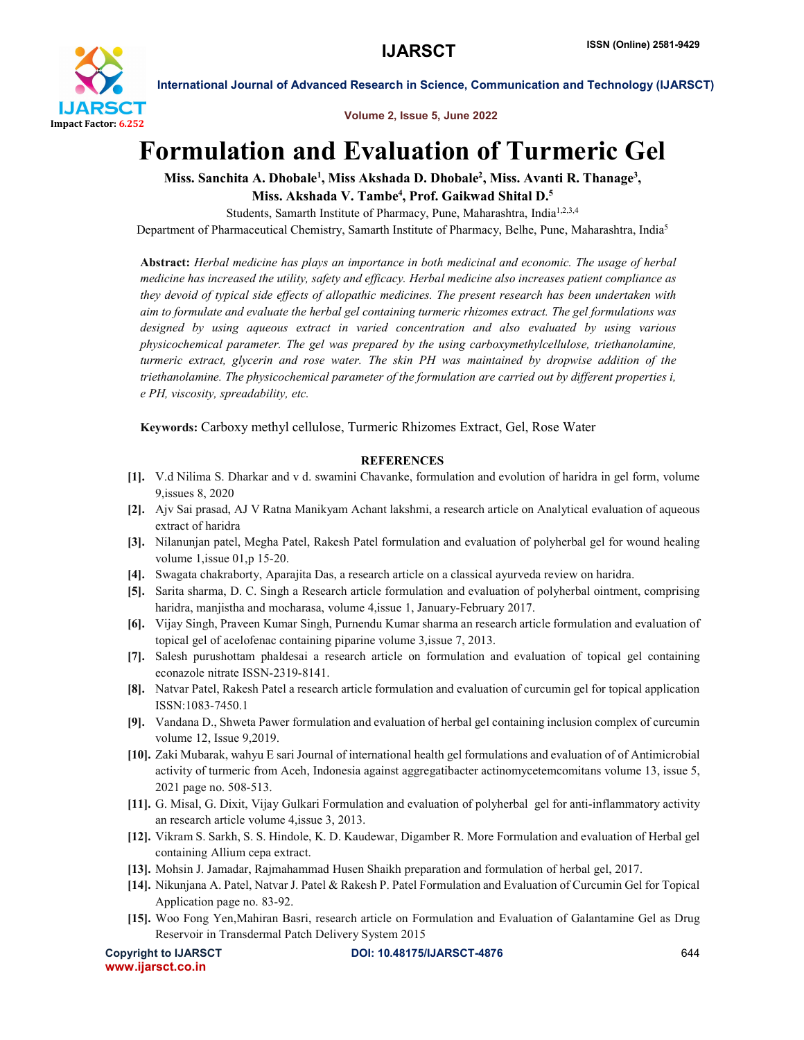

International Journal of Advanced Research in Science, Communication and Technology (IJARSCT)

Volume 2, Issue 5, June 2022

## Formulation and Evaluation of Turmeric Gel

Miss. Sanchita A. Dhobale<sup>1</sup>, Miss Akshada D. Dhobale<sup>2</sup>, Miss. Avanti R. Thanage<sup>3</sup>, Miss. Akshada V. Tambe<sup>4</sup>, Prof. Gaikwad Shital D.<sup>5</sup>

Students, Samarth Institute of Pharmacy, Pune, Maharashtra, India<sup>1,2,3,4</sup>

Department of Pharmaceutical Chemistry, Samarth Institute of Pharmacy, Belhe, Pune, Maharashtra, India<sup>5</sup>

Abstract: *Herbal medicine has plays an importance in both medicinal and economic. The usage of herbal medicine has increased the utility, safety and efficacy. Herbal medicine also increases patient compliance as they devoid of typical side effects of allopathic medicines. The present research has been undertaken with aim to formulate and evaluate the herbal gel containing turmeric rhizomes extract. The gel formulations was designed by using aqueous extract in varied concentration and also evaluated by using various physicochemical parameter. The gel was prepared by the using carboxymethylcellulose, triethanolamine, turmeric extract, glycerin and rose water. The skin PH was maintained by dropwise addition of the triethanolamine. The physicochemical parameter of the formulation are carried out by different properties i, e PH, viscosity, spreadability, etc.*

Keywords: Carboxy methyl cellulose, Turmeric Rhizomes Extract, Gel, Rose Water

## **REFERENCES**

- [1]. V.d Nilima S. Dharkar and v d. swamini Chavanke, formulation and evolution of haridra in gel form, volume 9,issues 8, 2020
- [2]. Ajv Sai prasad, AJ V Ratna Manikyam Achant lakshmi, a research article on Analytical evaluation of aqueous extract of haridra
- [3]. Nilanunjan patel, Megha Patel, Rakesh Patel formulation and evaluation of polyherbal gel for wound healing volume 1,issue 01,p 15-20.
- [4]. Swagata chakraborty, Aparajita Das, a research article on a classical ayurveda review on haridra.
- [5]. Sarita sharma, D. C. Singh a Research article formulation and evaluation of polyherbal ointment, comprising haridra, manjistha and mocharasa, volume 4,issue 1, January-February 2017.
- [6]. Vijay Singh, Praveen Kumar Singh, Purnendu Kumar sharma an research article formulation and evaluation of topical gel of acelofenac containing piparine volume 3,issue 7, 2013.
- [7]. Salesh purushottam phaldesai a research article on formulation and evaluation of topical gel containing econazole nitrate ISSN-2319-8141.
- [8]. Natvar Patel, Rakesh Patel a research article formulation and evaluation of curcumin gel for topical application ISSN:1083-7450.1
- [9]. Vandana D., Shweta Pawer formulation and evaluation of herbal gel containing inclusion complex of curcumin volume 12, Issue 9,2019.
- [10]. Zaki Mubarak, wahyu E sari Journal of international health gel formulations and evaluation of of Antimicrobial activity of turmeric from Aceh, Indonesia against aggregatibacter actinomycetemcomitans volume 13, issue 5, 2021 page no. 508-513.
- [11]. G. Misal, G. Dixit, Vijay Gulkari Formulation and evaluation of polyherbal gel for anti-inflammatory activity an research article volume 4,issue 3, 2013.
- [12]. Vikram S. Sarkh, S. S. Hindole, K. D. Kaudewar, Digamber R. More Formulation and evaluation of Herbal gel containing Allium cepa extract.
- [13]. Mohsin J. Jamadar, Rajmahammad Husen Shaikh preparation and formulation of herbal gel, 2017.
- [14]. Nikunjana A. Patel, Natvar J. Patel & Rakesh P. Patel Formulation and Evaluation of Curcumin Gel for Topical Application page no. 83-92.
- [15]. Woo Fong Yen,Mahiran Basri, research article on Formulation and Evaluation of Galantamine Gel as Drug Reservoir in Transdermal Patch Delivery System 2015

www.ijarsct.co.in